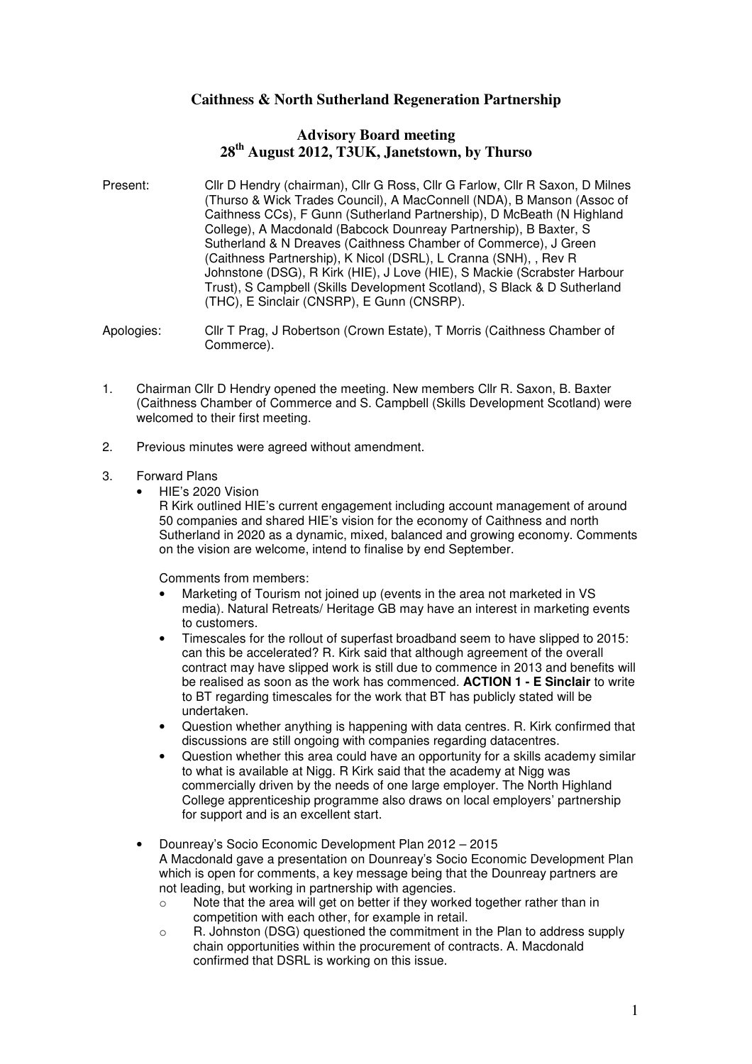# **Caithness & North Sutherland Regeneration Partnership**

## **Advisory Board meeting 28th August 2012, T3UK, Janetstown, by Thurso**

Present: Cllr D Hendry (chairman), Cllr G Ross, Cllr G Farlow, Cllr R Saxon, D Milnes (Thurso & Wick Trades Council), A MacConnell (NDA), B Manson (Assoc of Caithness CCs), F Gunn (Sutherland Partnership), D McBeath (N Highland College), A Macdonald (Babcock Dounreay Partnership), B Baxter, S Sutherland & N Dreaves (Caithness Chamber of Commerce), J Green (Caithness Partnership), K Nicol (DSRL), L Cranna (SNH), , Rev R Johnstone (DSG), R Kirk (HIE), J Love (HIE), S Mackie (Scrabster Harbour Trust), S Campbell (Skills Development Scotland), S Black & D Sutherland (THC), E Sinclair (CNSRP), E Gunn (CNSRP).

Apologies: Cllr T Prag, J Robertson (Crown Estate), T Morris (Caithness Chamber of Commerce).

- 1. Chairman Cllr D Hendry opened the meeting. New members Cllr R. Saxon, B. Baxter (Caithness Chamber of Commerce and S. Campbell (Skills Development Scotland) were welcomed to their first meeting.
- 2. Previous minutes were agreed without amendment.

### 3. Forward Plans

• HIE's 2020 Vision

R Kirk outlined HIE's current engagement including account management of around 50 companies and shared HIE's vision for the economy of Caithness and north Sutherland in 2020 as a dynamic, mixed, balanced and growing economy. Comments on the vision are welcome, intend to finalise by end September.

Comments from members:

- Marketing of Tourism not joined up (events in the area not marketed in VS media). Natural Retreats/ Heritage GB may have an interest in marketing events to customers.
- Timescales for the rollout of superfast broadband seem to have slipped to 2015: can this be accelerated? R. Kirk said that although agreement of the overall contract may have slipped work is still due to commence in 2013 and benefits will be realised as soon as the work has commenced. **ACTION 1 - E Sinclair** to write to BT regarding timescales for the work that BT has publicly stated will be undertaken.
- Question whether anything is happening with data centres. R. Kirk confirmed that discussions are still ongoing with companies regarding datacentres.
- Question whether this area could have an opportunity for a skills academy similar to what is available at Nigg. R Kirk said that the academy at Nigg was commercially driven by the needs of one large employer. The North Highland College apprenticeship programme also draws on local employers' partnership for support and is an excellent start.
- Dounreay's Socio Economic Development Plan 2012 2015 A Macdonald gave a presentation on Dounreay's Socio Economic Development Plan which is open for comments, a key message being that the Dounreay partners are not leading, but working in partnership with agencies.
	- o Note that the area will get on better if they worked together rather than in competition with each other, for example in retail.
	- $\circ$  R. Johnston (DSG) questioned the commitment in the Plan to address supply chain opportunities within the procurement of contracts. A. Macdonald confirmed that DSRL is working on this issue.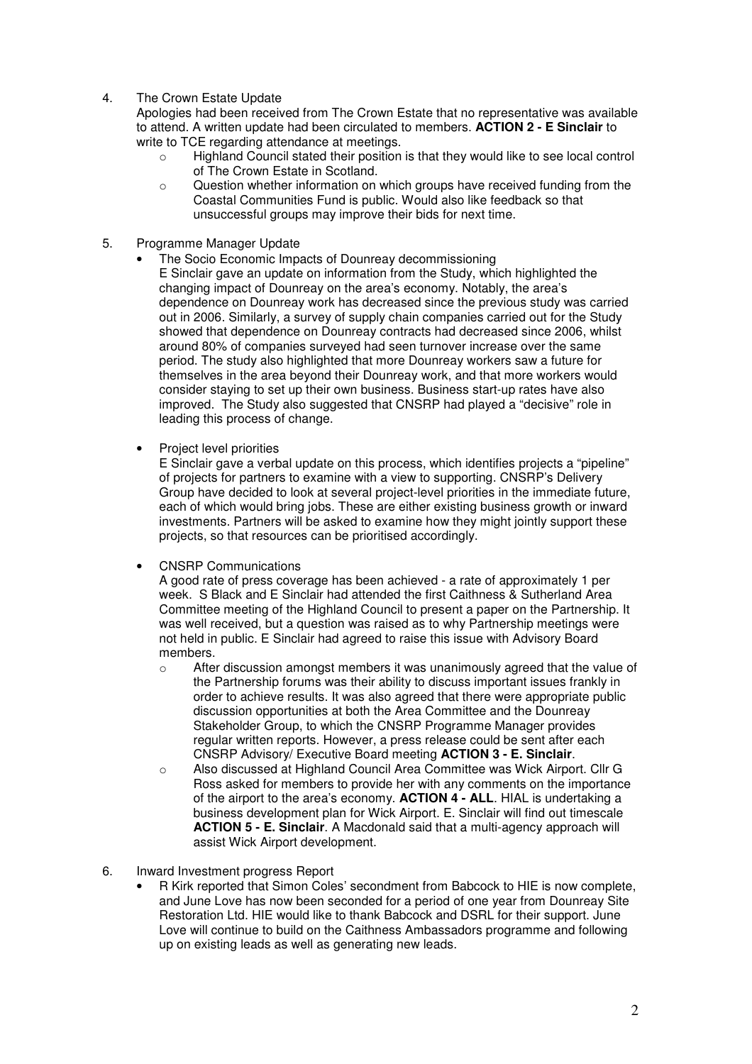4. The Crown Estate Update

Apologies had been received from The Crown Estate that no representative was available to attend. A written update had been circulated to members. **ACTION 2 - E Sinclair** to write to TCE regarding attendance at meetings.

- o Highland Council stated their position is that they would like to see local control of The Crown Estate in Scotland.
- o Question whether information on which groups have received funding from the Coastal Communities Fund is public. Would also like feedback so that unsuccessful groups may improve their bids for next time.
- 5. Programme Manager Update
	- The Socio Economic Impacts of Dounreay decommissioning E Sinclair gave an update on information from the Study, which highlighted the changing impact of Dounreay on the area's economy. Notably, the area's dependence on Dounreay work has decreased since the previous study was carried out in 2006. Similarly, a survey of supply chain companies carried out for the Study showed that dependence on Dounreay contracts had decreased since 2006, whilst around 80% of companies surveyed had seen turnover increase over the same period. The study also highlighted that more Dounreay workers saw a future for themselves in the area beyond their Dounreay work, and that more workers would consider staying to set up their own business. Business start-up rates have also improved. The Study also suggested that CNSRP had played a "decisive" role in leading this process of change.
	- Project level priorities

E Sinclair gave a verbal update on this process, which identifies projects a "pipeline" of projects for partners to examine with a view to supporting. CNSRP's Delivery Group have decided to look at several project-level priorities in the immediate future, each of which would bring jobs. These are either existing business growth or inward investments. Partners will be asked to examine how they might jointly support these projects, so that resources can be prioritised accordingly.

• CNSRP Communications

A good rate of press coverage has been achieved - a rate of approximately 1 per week. S Black and E Sinclair had attended the first Caithness & Sutherland Area Committee meeting of the Highland Council to present a paper on the Partnership. It was well received, but a question was raised as to why Partnership meetings were not held in public. E Sinclair had agreed to raise this issue with Advisory Board members.

- $\circ$  After discussion amongst members it was unanimously agreed that the value of the Partnership forums was their ability to discuss important issues frankly in order to achieve results. It was also agreed that there were appropriate public discussion opportunities at both the Area Committee and the Dounreay Stakeholder Group, to which the CNSRP Programme Manager provides regular written reports. However, a press release could be sent after each CNSRP Advisory/ Executive Board meeting **ACTION 3 - E. Sinclair**.
- o Also discussed at Highland Council Area Committee was Wick Airport. Cllr G Ross asked for members to provide her with any comments on the importance of the airport to the area's economy. **ACTION 4 - ALL**. HIAL is undertaking a business development plan for Wick Airport. E. Sinclair will find out timescale **ACTION 5 - E. Sinclair**. A Macdonald said that a multi-agency approach will assist Wick Airport development.
- 6. Inward Investment progress Report
	- R Kirk reported that Simon Coles' secondment from Babcock to HIE is now complete, and June Love has now been seconded for a period of one year from Dounreay Site Restoration Ltd. HIE would like to thank Babcock and DSRL for their support. June Love will continue to build on the Caithness Ambassadors programme and following up on existing leads as well as generating new leads.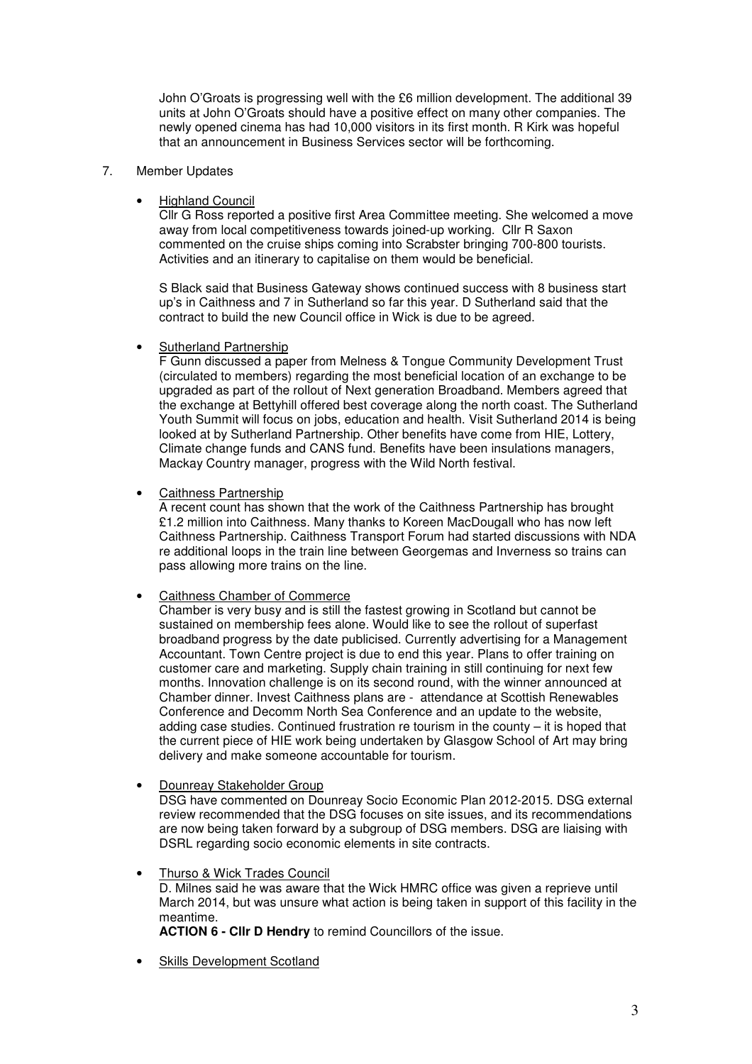John O'Groats is progressing well with the £6 million development. The additional 39 units at John O'Groats should have a positive effect on many other companies. The newly opened cinema has had 10,000 visitors in its first month. R Kirk was hopeful that an announcement in Business Services sector will be forthcoming.

### 7. Member Updates

### • Highland Council

Cllr G Ross reported a positive first Area Committee meeting. She welcomed a move away from local competitiveness towards joined-up working. Cllr R Saxon commented on the cruise ships coming into Scrabster bringing 700-800 tourists. Activities and an itinerary to capitalise on them would be beneficial.

S Black said that Business Gateway shows continued success with 8 business start up's in Caithness and 7 in Sutherland so far this year. D Sutherland said that the contract to build the new Council office in Wick is due to be agreed.

### Sutherland Partnership

F Gunn discussed a paper from Melness & Tongue Community Development Trust (circulated to members) regarding the most beneficial location of an exchange to be upgraded as part of the rollout of Next generation Broadband. Members agreed that the exchange at Bettyhill offered best coverage along the north coast. The Sutherland Youth Summit will focus on jobs, education and health. Visit Sutherland 2014 is being looked at by Sutherland Partnership. Other benefits have come from HIE, Lottery, Climate change funds and CANS fund. Benefits have been insulations managers, Mackay Country manager, progress with the Wild North festival.

### • Caithness Partnership

A recent count has shown that the work of the Caithness Partnership has brought £1.2 million into Caithness. Many thanks to Koreen MacDougall who has now left Caithness Partnership. Caithness Transport Forum had started discussions with NDA re additional loops in the train line between Georgemas and Inverness so trains can pass allowing more trains on the line.

## • Caithness Chamber of Commerce

Chamber is very busy and is still the fastest growing in Scotland but cannot be sustained on membership fees alone. Would like to see the rollout of superfast broadband progress by the date publicised. Currently advertising for a Management Accountant. Town Centre project is due to end this year. Plans to offer training on customer care and marketing. Supply chain training in still continuing for next few months. Innovation challenge is on its second round, with the winner announced at Chamber dinner. Invest Caithness plans are - attendance at Scottish Renewables Conference and Decomm North Sea Conference and an update to the website, adding case studies. Continued frustration re tourism in the county – it is hoped that the current piece of HIE work being undertaken by Glasgow School of Art may bring delivery and make someone accountable for tourism.

## • Dounreay Stakeholder Group

DSG have commented on Dounreay Socio Economic Plan 2012-2015. DSG external review recommended that the DSG focuses on site issues, and its recommendations are now being taken forward by a subgroup of DSG members. DSG are liaising with DSRL regarding socio economic elements in site contracts.

#### • Thurso & Wick Trades Council

D. Milnes said he was aware that the Wick HMRC office was given a reprieve until March 2014, but was unsure what action is being taken in support of this facility in the meantime.

**ACTION 6 - Cllr D Hendry** to remind Councillors of the issue.

Skills Development Scotland